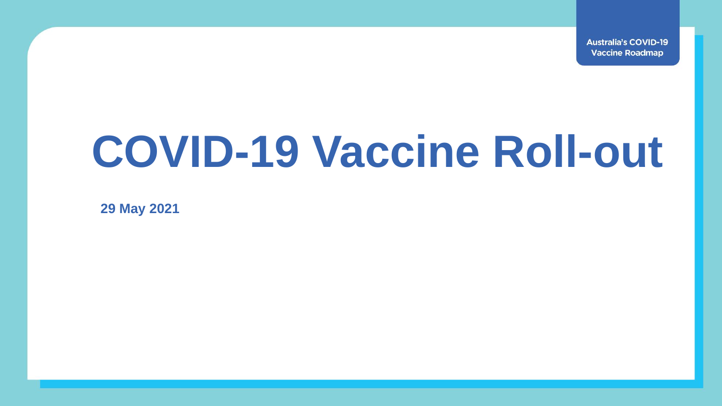**Australia's COVID-19 Vaccine Roadmap** 

## **COVID-19 Vaccine Roll-out**

**29 May 2021**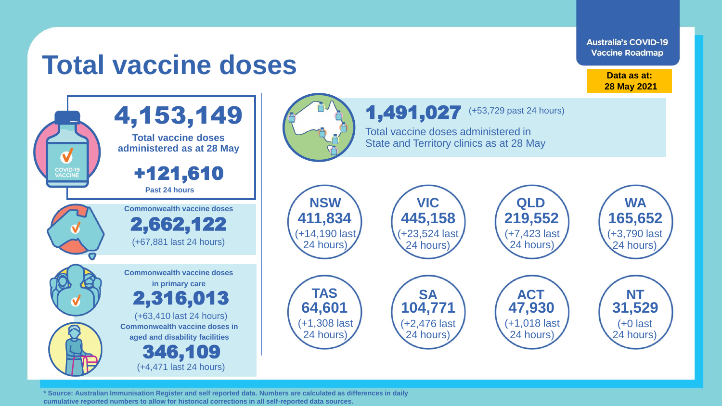**Australia's COVID-19 Vaccine Roadmap** 

## **Total vaccine doses**

**Data as at: 28 May 2021**





**\* Source: Australian Immunisation Register and self reported data. Numbers are calculated as differences in daily cumulative reported numbers to allow for historical corrections in all self-reported data sources.**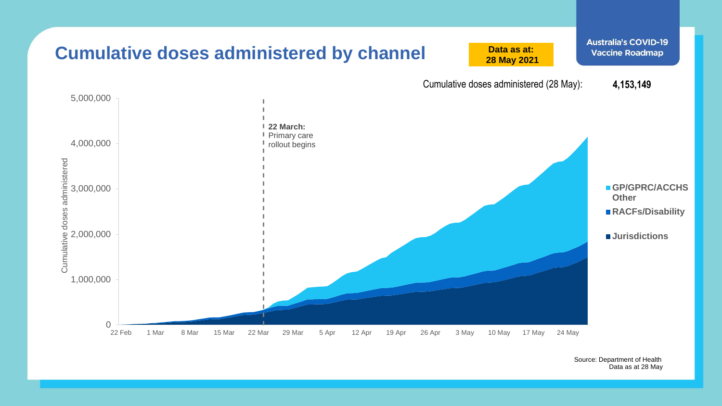

Source: Department of Health Data as at 28 May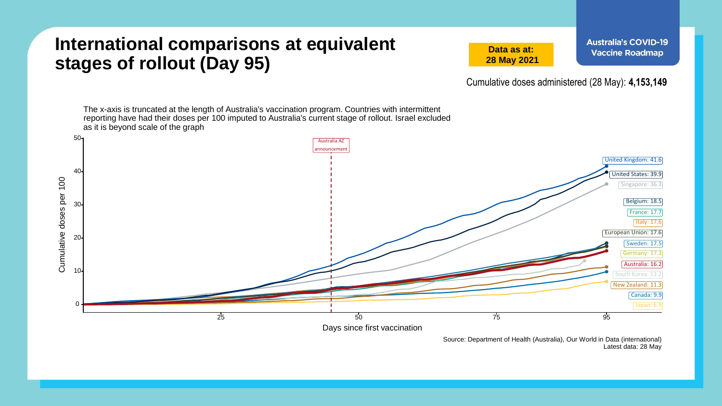## **International comparisons at equivalent stages of rollout (Day 95)**

**Data as at: 28 May 2021** **Australia's COVID-19 Vaccine Roadmap** 

Cumulative doses administered (28 May): **4,153,149**

The x-axis is truncated at the length of Australia's vaccination program. Countries with intermittent reporting have had their doses per 100 imputed to Australia's current stage of rollout. Israel excluded as it is beyond scale of the graph 50 Australia AZ announcement United Kingdom: 41.6 40 United States: 39.9 Cumulative doses per 100 Cumulative doses per 100 Singapore: 36.3 Belgium: 18.5 30 France: 17.7 Italy: 17.6 European Union: 17.6 20 Sweden: 17.5 Germany: 17.3 Australia: 16.2 10 outh Korea: 13. New Zealand: 11.3 Canada: 9.9 0 Japan: 6.9  $25$   $25$   $95$ Days since first vaccination

> Source: Department of Health (Australia), Our World in Data (international) Latest data: 28 May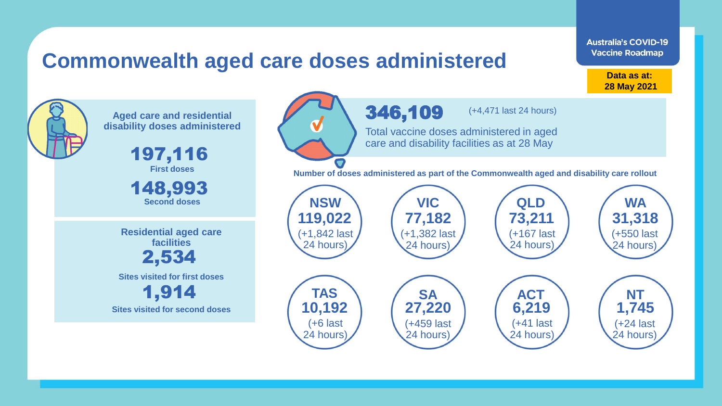## **Commonwealth aged care doses administered**

**Data as at: Data as at: 18 Apr 2021 28 May 2021**